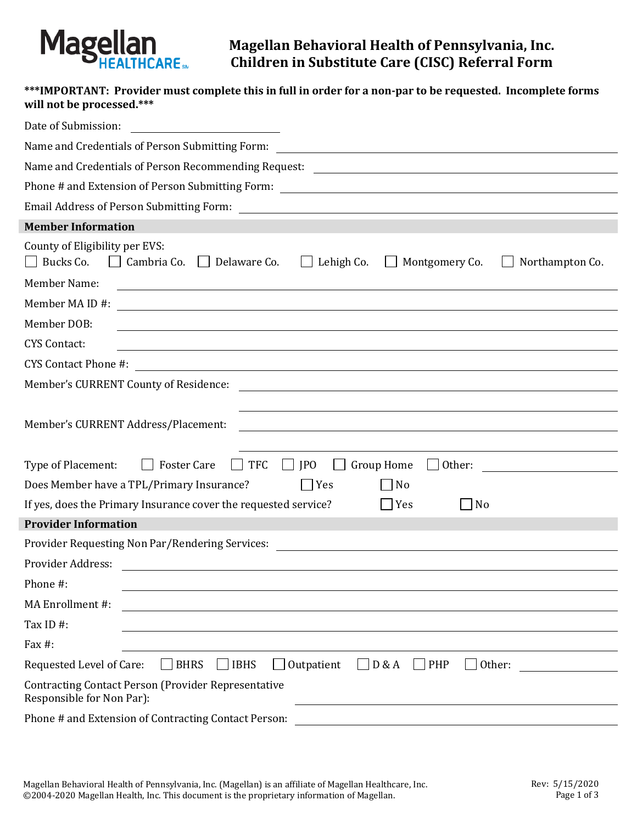

**Magellan Behavioral Health of Pennsylvania, Inc. Children in Substitute Care (CISC) Referral Form**

# **\*\*\*IMPORTANT: Provider must complete this in full in order for a non-par to be requested. Incomplete forms will not be processed.\*\*\***

| Date of Submission:<br><u> 1989 - Andrea Station Books, amerikansk politik (d. 1989)</u>                                                                                |  |  |  |  |  |
|-------------------------------------------------------------------------------------------------------------------------------------------------------------------------|--|--|--|--|--|
| Name and Credentials of Person Submitting Form:<br><u> 1980 - Johann Barn, mars ann an t-Amhain Aonaich an t-Aonaich an t-Aonaich ann an t-Aonaich ann an t-Aonaich</u> |  |  |  |  |  |
|                                                                                                                                                                         |  |  |  |  |  |
|                                                                                                                                                                         |  |  |  |  |  |
|                                                                                                                                                                         |  |  |  |  |  |
| <b>Member Information</b>                                                                                                                                               |  |  |  |  |  |
| County of Eligibility per EVS:<br>Bucks Co.<br>Cambria Co. Delaware Co.<br>$\Box$ Lehigh Co.<br>Montgomery Co.<br>Northampton Co.<br>$\mathbf{L}$                       |  |  |  |  |  |
| <b>Member Name:</b><br><u> 1980 - Johann Stoff, deutscher Stoffen und der Stoffen und der Stoffen und der Stoffen und der Stoffen und de</u>                            |  |  |  |  |  |
| Member MA ID #:<br><u> 1980 - Johann Barnett, fransk politik (d. 1980)</u>                                                                                              |  |  |  |  |  |
| Member DOB:                                                                                                                                                             |  |  |  |  |  |
| <b>CYS Contact:</b><br><u> 1989 - Johann Stoff, amerikansk politiker (d. 1989)</u>                                                                                      |  |  |  |  |  |
|                                                                                                                                                                         |  |  |  |  |  |
| Member's CURRENT County of Residence:<br><u> 1989 - Johann John Stone, marking fan de Amerikaanske kommunister (</u>                                                    |  |  |  |  |  |
| Member's CURRENT Address/Placement:<br><u> 1989 - Johann Barn, mars ann an t-Alban ann an t-Alban ann an t-Alban ann an t-Alban ann an t-Alban ann an t-</u>            |  |  |  |  |  |
| <b>TFC</b><br><b>Foster Care</b><br><b>JPO</b><br><b>Group Home</b><br>Type of Placement:<br>Other:<br>$\perp$<br><u> 1980 - Jan Barbara Barbara, m</u>                 |  |  |  |  |  |
| Does Member have a TPL/Primary Insurance?<br>$ $ Yes<br>No                                                                                                              |  |  |  |  |  |
| If yes, does the Primary Insurance cover the requested service?<br>N <sub>o</sub><br>Yes                                                                                |  |  |  |  |  |
| <b>Provider Information</b>                                                                                                                                             |  |  |  |  |  |
| Provider Requesting Non Par/Rendering Services: ________________________________                                                                                        |  |  |  |  |  |
| Provider Address:                                                                                                                                                       |  |  |  |  |  |
| Phone #:                                                                                                                                                                |  |  |  |  |  |
| MA Enrollment #:                                                                                                                                                        |  |  |  |  |  |
| Tax ID#:                                                                                                                                                                |  |  |  |  |  |
| Fax $#$ :                                                                                                                                                               |  |  |  |  |  |
| $\Box$ BHRS<br>$\Box$ Outpatient<br>$\Box$ IBHS<br>$\Box$ D & A<br>$\Box$ PHP<br>$\Box$ Other:<br>Requested Level of Care:                                              |  |  |  |  |  |
| <b>Contracting Contact Person (Provider Representative</b><br>Responsible for Non Par):                                                                                 |  |  |  |  |  |
| Phone # and Extension of Contracting Contact Person:                                                                                                                    |  |  |  |  |  |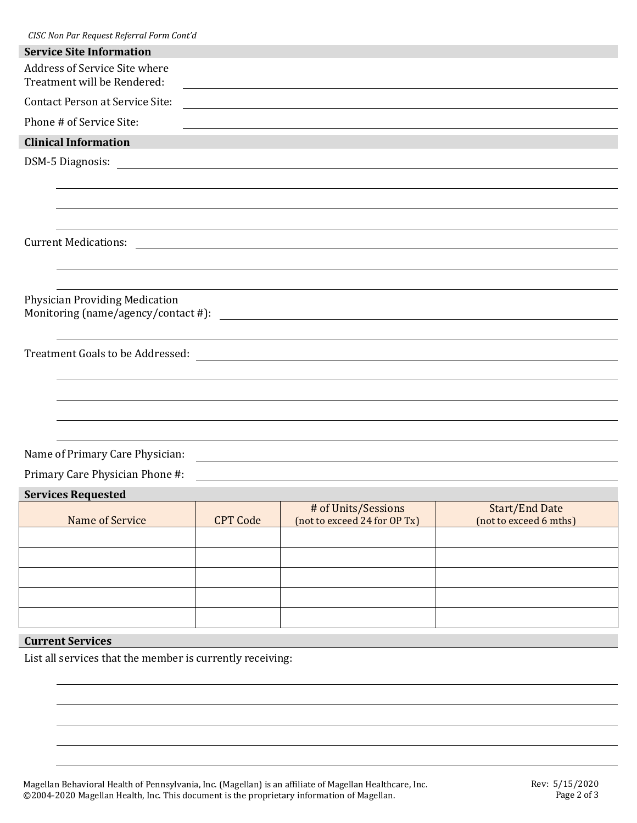| CISC Non Par Request Referral Form Cont'd                                                                                                                                                            |
|------------------------------------------------------------------------------------------------------------------------------------------------------------------------------------------------------|
| <b>Service Site Information</b>                                                                                                                                                                      |
| Address of Service Site where<br>Treatment will be Rendered:                                                                                                                                         |
| <b>Contact Person at Service Site:</b><br><u> 1989 - Johann Stoff, deutscher Stoffen und der Stoffen und der Stoffen und der Stoffen und der Stoffen und der</u>                                     |
| Phone # of Service Site:<br><u> 1989 - Johann Stoff, deutscher Stoff, der Stoff, der Stoff, der Stoff, der Stoff, der Stoff, der Stoff, der S</u>                                                    |
| <b>Clinical Information</b>                                                                                                                                                                          |
|                                                                                                                                                                                                      |
|                                                                                                                                                                                                      |
|                                                                                                                                                                                                      |
|                                                                                                                                                                                                      |
| <b>Current Medications:</b><br><u> 1989 - Johann Stoff, deutscher Stoffen und der Stoffen und der Stoffen und der Stoffen und der Stoffen und der</u>                                                |
|                                                                                                                                                                                                      |
|                                                                                                                                                                                                      |
| <b>Physician Providing Medication</b><br>Monitoring (name/agency/contact #):<br><u> 1980 - Jan Samuel Barbara, martin din shekara ta 1980 - An tsara tsara tsara tsara tsara tsara tsara tsara t</u> |
|                                                                                                                                                                                                      |
|                                                                                                                                                                                                      |
|                                                                                                                                                                                                      |
|                                                                                                                                                                                                      |
|                                                                                                                                                                                                      |
|                                                                                                                                                                                                      |
| Name of Primary Care Physician:                                                                                                                                                                      |
| Primary Care Physician Phone #:                                                                                                                                                                      |

#### **Services Requested**

| -------------------- |                 |                              |                        |  |  |
|----------------------|-----------------|------------------------------|------------------------|--|--|
|                      |                 | # of Units/Sessions          | <b>Start/End Date</b>  |  |  |
| Name of Service      | <b>CPT Code</b> | (not to exceed 24 for OP Tx) | (not to exceed 6 mths) |  |  |
|                      |                 |                              |                        |  |  |
|                      |                 |                              |                        |  |  |
|                      |                 |                              |                        |  |  |
|                      |                 |                              |                        |  |  |
|                      |                 |                              |                        |  |  |
|                      |                 |                              |                        |  |  |
|                      |                 |                              |                        |  |  |
|                      |                 |                              |                        |  |  |
|                      |                 |                              |                        |  |  |

# **Current Services**

List all services that the member is currently receiving:

Magellan Behavioral Health of Pennsylvania, Inc. (Magellan) is an affiliate of Magellan Healthcare, Inc. ©2004-2020 Magellan Health, Inc. This document is the proprietary information of Magellan.